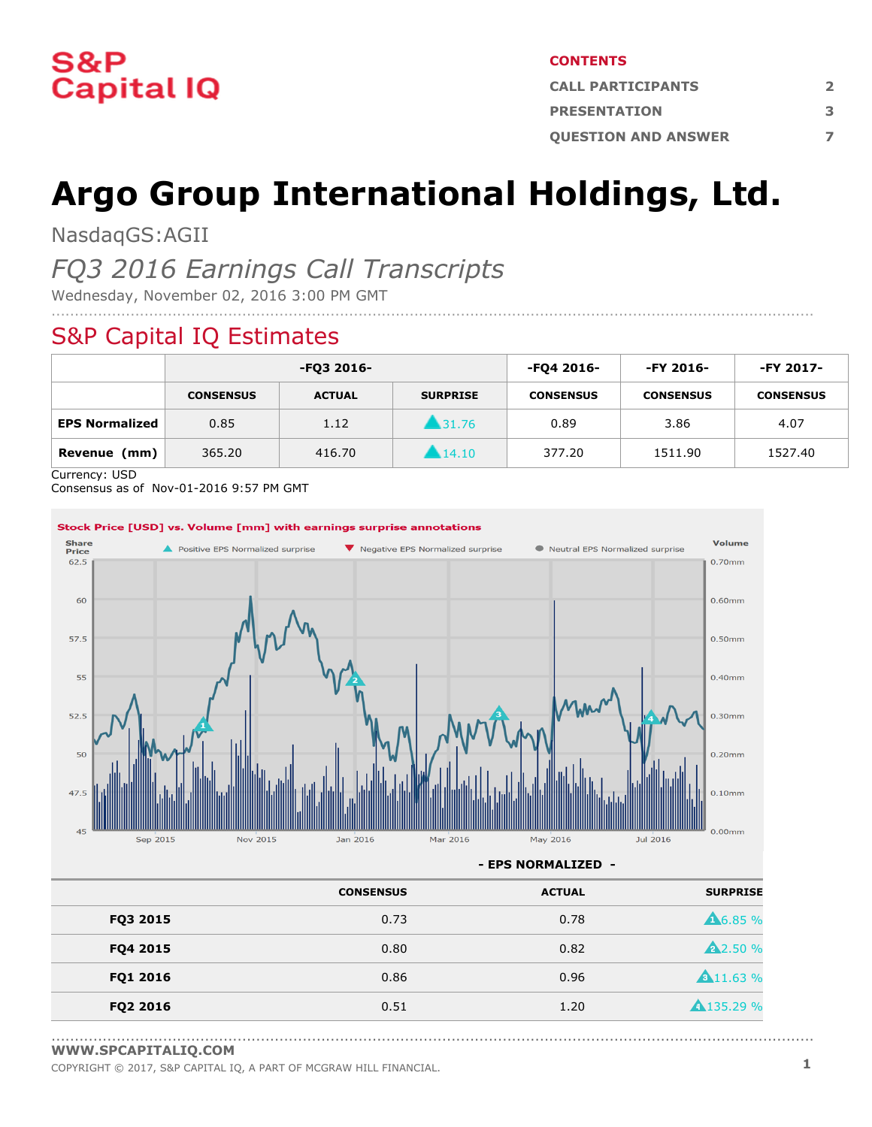

#### **CONTENTS**

| <b>CALL PARTICIPANTS</b>   |  |  |
|----------------------------|--|--|
| <b>PRESENTATION</b>        |  |  |
| <b>OUESTION AND ANSWER</b> |  |  |

# **Argo Group International Holdings, Ltd.**

NasdaqGS:AGII

### *FQ3 2016 Earnings Call Transcripts*

Wednesday, November 02, 2016 3:00 PM GMT

### S&P Capital IQ Estimates

|                       | -FO3 2016-       |               | -FQ4 2016-           | $-FY 2016-$      | -FY 2017-        |                  |
|-----------------------|------------------|---------------|----------------------|------------------|------------------|------------------|
|                       | <b>CONSENSUS</b> | <b>ACTUAL</b> | <b>SURPRISE</b>      | <b>CONSENSUS</b> | <b>CONSENSUS</b> | <b>CONSENSUS</b> |
| <b>EPS Normalized</b> | 0.85             | 1.12          | ▲31.76               | 0.89             | 3.86             | 4.07             |
| Revenue<br>(mm)       | 365.20           | 416.70        | $\blacksquare$ 14.10 | 377.20           | 1511.90          | 1527.40          |

....................................................................................................................................................................

Currency: USD

Consensus as of Nov-01-2016 9:57 PM GMT



**- EPS NORMALIZED -**

|          | <b>CONSENSUS</b> | <b>ACTUAL</b> | <b>SURPRISE</b>   |
|----------|------------------|---------------|-------------------|
| FQ3 2015 | 0.73             | 0.78          | <b>A6.85 %</b>    |
| FQ4 2015 | 0.80             | 0.82          | <b>A</b> 2.50 %   |
| FQ1 2016 | 0.86             | 0.96          | <b>A</b> 11.63 %  |
| FQ2 2016 | 0.51             | 1.20          | <b>A</b> 135.29 % |

<sup>....................................................................................................................................................................</sup> **[WWW.SPCAPITALIQ.COM](https://www.capitaliq.com/home.aspx)**

COPYRIGHT © 2017, S&P CAPITAL IQ, <sup>A</sup> PART OF MCGRAW HILL FINANCIAL. **1**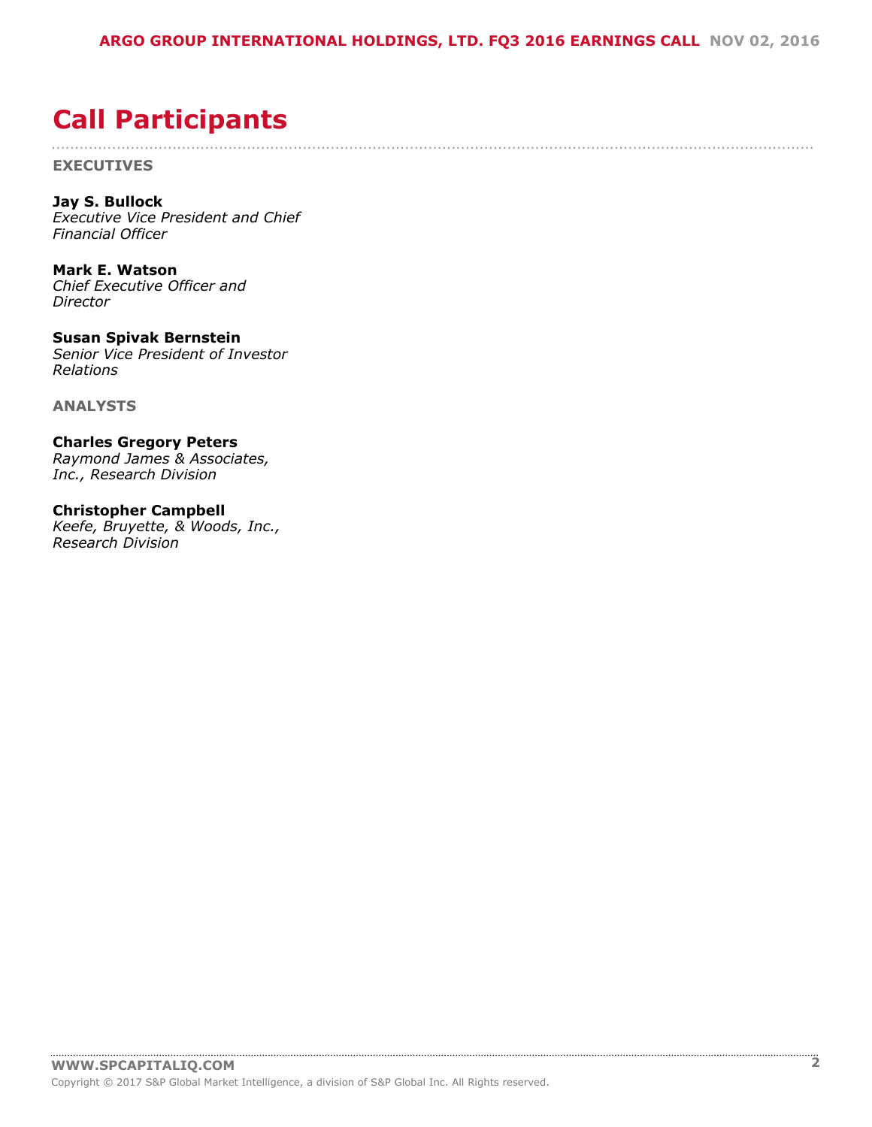....................................................................................................................................................................

## <span id="page-1-0"></span>**Call Participants**

**EXECUTIVES**

**Jay S. Bullock** *Executive Vice President and Chief Financial Officer*

**Mark E. Watson** *Chief Executive Officer and Director*

**Susan Spivak Bernstein** *Senior Vice President of Investor Relations*

**ANALYSTS**

**Charles Gregory Peters** *Raymond James & Associates, Inc., Research Division*

**Christopher Campbell** *Keefe, Bruyette, & Woods, Inc., Research Division*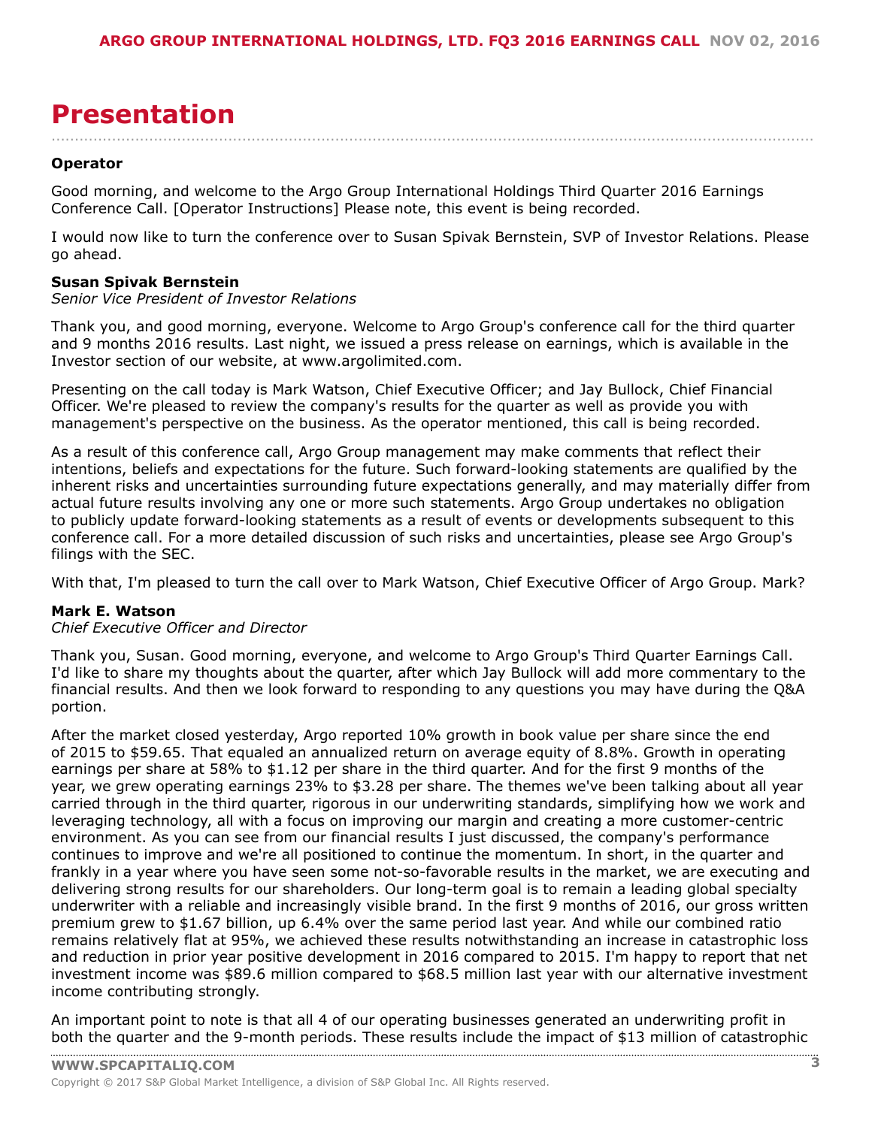## <span id="page-2-0"></span>**Presentation**

**Operator**

Good morning, and welcome to the Argo Group International Holdings Third Quarter 2016 Earnings Conference Call. [Operator Instructions] Please note, this event is being recorded.

I would now like to turn the conference over to Susan Spivak Bernstein, SVP of Investor Relations. Please go ahead.

....................................................................................................................................................................

#### **Susan Spivak Bernstein**

*Senior Vice President of Investor Relations*

Thank you, and good morning, everyone. Welcome to Argo Group's conference call for the third quarter and 9 months 2016 results. Last night, we issued a press release on earnings, which is available in the Investor section of our website, at www.argolimited.com.

Presenting on the call today is Mark Watson, Chief Executive Officer; and Jay Bullock, Chief Financial Officer. We're pleased to review the company's results for the quarter as well as provide you with management's perspective on the business. As the operator mentioned, this call is being recorded.

As a result of this conference call, Argo Group management may make comments that reflect their intentions, beliefs and expectations for the future. Such forward-looking statements are qualified by the inherent risks and uncertainties surrounding future expectations generally, and may materially differ from actual future results involving any one or more such statements. Argo Group undertakes no obligation to publicly update forward-looking statements as a result of events or developments subsequent to this conference call. For a more detailed discussion of such risks and uncertainties, please see Argo Group's filings with the SEC.

With that, I'm pleased to turn the call over to Mark Watson, Chief Executive Officer of Argo Group. Mark?

#### **Mark E. Watson**

*Chief Executive Officer and Director*

Thank you, Susan. Good morning, everyone, and welcome to Argo Group's Third Quarter Earnings Call. I'd like to share my thoughts about the quarter, after which Jay Bullock will add more commentary to the financial results. And then we look forward to responding to any questions you may have during the Q&A portion.

After the market closed yesterday, Argo reported 10% growth in book value per share since the end of 2015 to \$59.65. That equaled an annualized return on average equity of 8.8%. Growth in operating earnings per share at 58% to \$1.12 per share in the third quarter. And for the first 9 months of the year, we grew operating earnings 23% to \$3.28 per share. The themes we've been talking about all year carried through in the third quarter, rigorous in our underwriting standards, simplifying how we work and leveraging technology, all with a focus on improving our margin and creating a more customer-centric environment. As you can see from our financial results I just discussed, the company's performance continues to improve and we're all positioned to continue the momentum. In short, in the quarter and frankly in a year where you have seen some not-so-favorable results in the market, we are executing and delivering strong results for our shareholders. Our long-term goal is to remain a leading global specialty underwriter with a reliable and increasingly visible brand. In the first 9 months of 2016, our gross written premium grew to \$1.67 billion, up 6.4% over the same period last year. And while our combined ratio remains relatively flat at 95%, we achieved these results notwithstanding an increase in catastrophic loss and reduction in prior year positive development in 2016 compared to 2015. I'm happy to report that net investment income was \$89.6 million compared to \$68.5 million last year with our alternative investment income contributing strongly.

An important point to note is that all 4 of our operating businesses generated an underwriting profit in [both the quarter and the 9](www.capitaliq.com)-month periods. These results include the impact of \$13 million of catastrophic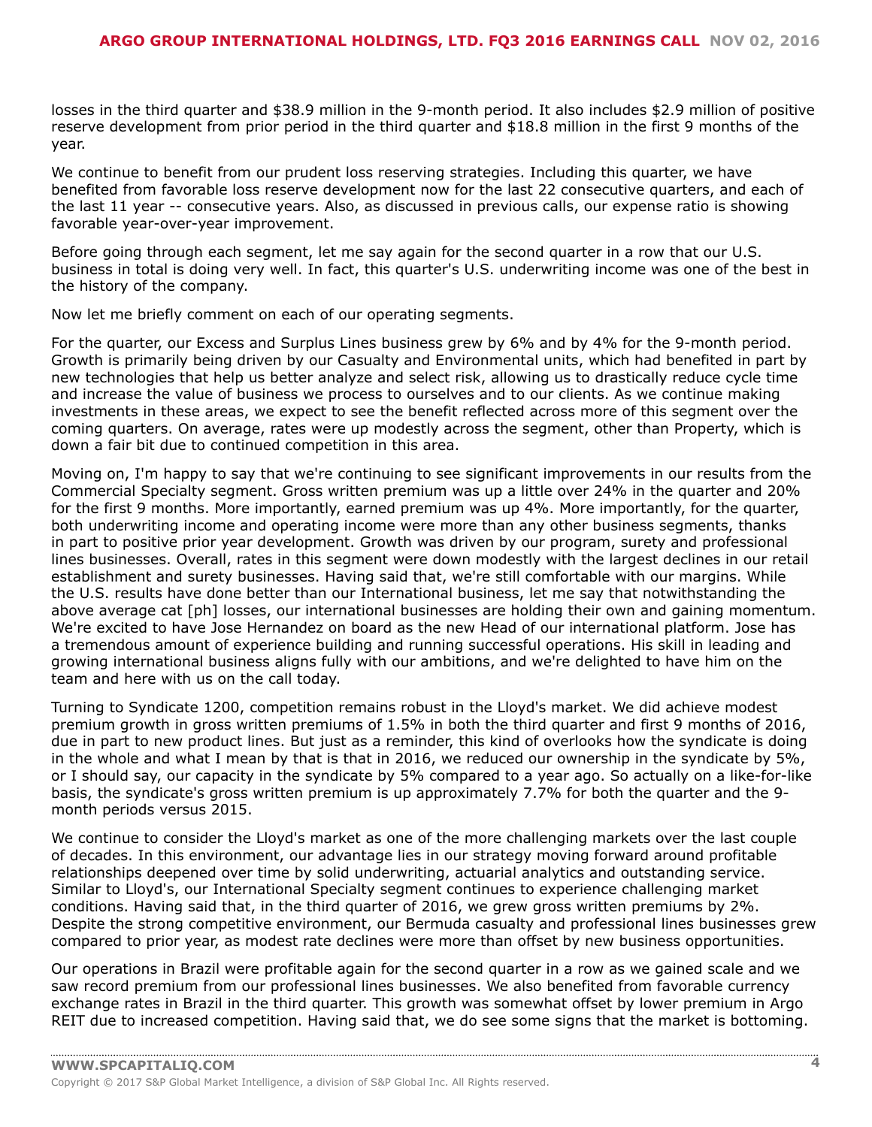losses in the third quarter and \$38.9 million in the 9-month period. It also includes \$2.9 million of positive reserve development from prior period in the third quarter and \$18.8 million in the first 9 months of the year.

We continue to benefit from our prudent loss reserving strategies. Including this quarter, we have benefited from favorable loss reserve development now for the last 22 consecutive quarters, and each of the last 11 year -- consecutive years. Also, as discussed in previous calls, our expense ratio is showing favorable year-over-year improvement.

Before going through each segment, let me say again for the second quarter in a row that our U.S. business in total is doing very well. In fact, this quarter's U.S. underwriting income was one of the best in the history of the company.

Now let me briefly comment on each of our operating segments.

For the quarter, our Excess and Surplus Lines business grew by 6% and by 4% for the 9-month period. Growth is primarily being driven by our Casualty and Environmental units, which had benefited in part by new technologies that help us better analyze and select risk, allowing us to drastically reduce cycle time and increase the value of business we process to ourselves and to our clients. As we continue making investments in these areas, we expect to see the benefit reflected across more of this segment over the coming quarters. On average, rates were up modestly across the segment, other than Property, which is down a fair bit due to continued competition in this area.

Moving on, I'm happy to say that we're continuing to see significant improvements in our results from the Commercial Specialty segment. Gross written premium was up a little over 24% in the quarter and 20% for the first 9 months. More importantly, earned premium was up 4%. More importantly, for the quarter, both underwriting income and operating income were more than any other business segments, thanks in part to positive prior year development. Growth was driven by our program, surety and professional lines businesses. Overall, rates in this segment were down modestly with the largest declines in our retail establishment and surety businesses. Having said that, we're still comfortable with our margins. While the U.S. results have done better than our International business, let me say that notwithstanding the above average cat [ph] losses, our international businesses are holding their own and gaining momentum. We're excited to have Jose Hernandez on board as the new Head of our international platform. Jose has a tremendous amount of experience building and running successful operations. His skill in leading and growing international business aligns fully with our ambitions, and we're delighted to have him on the team and here with us on the call today.

Turning to Syndicate 1200, competition remains robust in the Lloyd's market. We did achieve modest premium growth in gross written premiums of 1.5% in both the third quarter and first 9 months of 2016, due in part to new product lines. But just as a reminder, this kind of overlooks how the syndicate is doing in the whole and what I mean by that is that in 2016, we reduced our ownership in the syndicate by 5%, or I should say, our capacity in the syndicate by 5% compared to a year ago. So actually on a like-for-like basis, the syndicate's gross written premium is up approximately 7.7% for both the quarter and the 9 month periods versus 2015.

We continue to consider the Lloyd's market as one of the more challenging markets over the last couple of decades. In this environment, our advantage lies in our strategy moving forward around profitable relationships deepened over time by solid underwriting, actuarial analytics and outstanding service. Similar to Lloyd's, our International Specialty segment continues to experience challenging market conditions. Having said that, in the third quarter of 2016, we grew gross written premiums by 2%. Despite the strong competitive environment, our Bermuda casualty and professional lines businesses grew compared to prior year, as modest rate declines were more than offset by new business opportunities.

Our operations in Brazil were profitable again for the second quarter in a row as we gained scale and we saw record premium from our professional lines businesses. We also benefited from favorable currency exchange rates in Brazil in the third quarter. This growth was somewhat offset by lower premium in Argo REIT due to increased competition. Having said that, we do see some signs that the market is bottoming.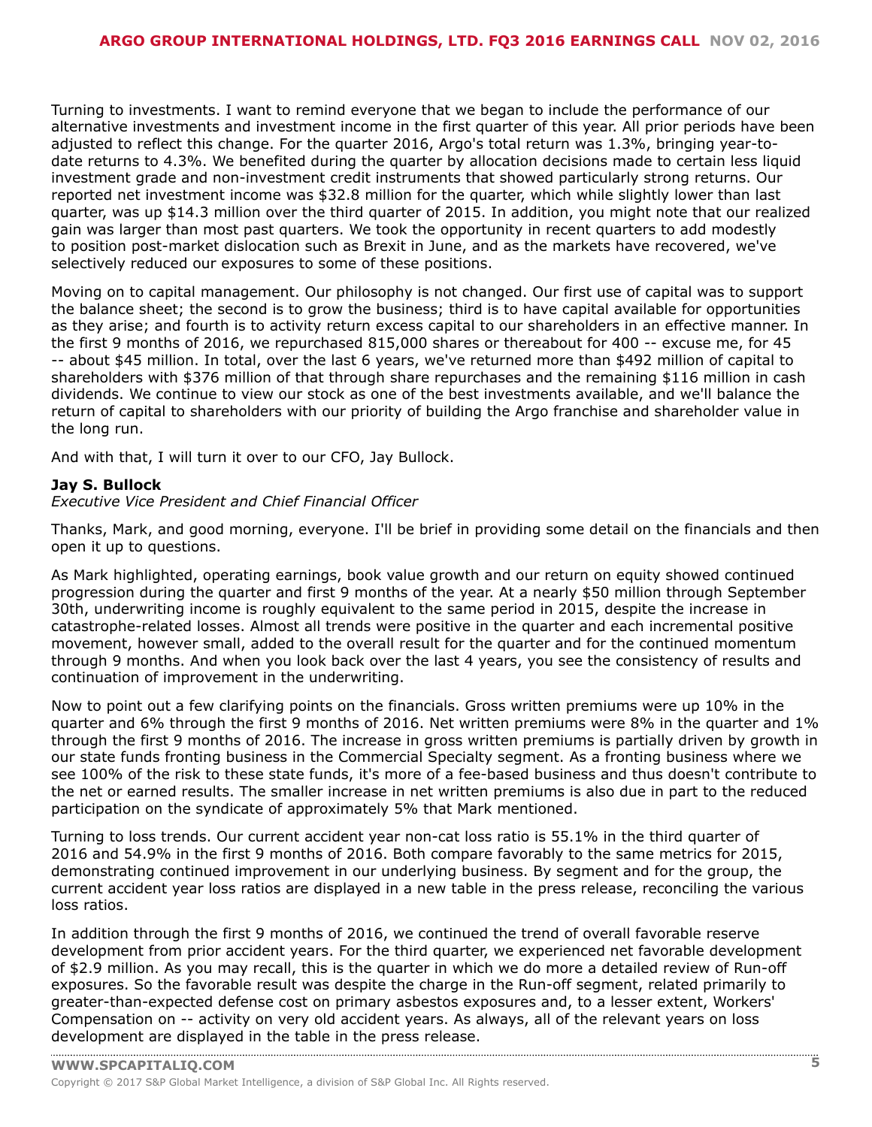Turning to investments. I want to remind everyone that we began to include the performance of our alternative investments and investment income in the first quarter of this year. All prior periods have been adjusted to reflect this change. For the quarter 2016, Argo's total return was 1.3%, bringing year-todate returns to 4.3%. We benefited during the quarter by allocation decisions made to certain less liquid investment grade and non-investment credit instruments that showed particularly strong returns. Our reported net investment income was \$32.8 million for the quarter, which while slightly lower than last quarter, was up \$14.3 million over the third quarter of 2015. In addition, you might note that our realized gain was larger than most past quarters. We took the opportunity in recent quarters to add modestly to position post-market dislocation such as Brexit in June, and as the markets have recovered, we've selectively reduced our exposures to some of these positions.

Moving on to capital management. Our philosophy is not changed. Our first use of capital was to support the balance sheet; the second is to grow the business; third is to have capital available for opportunities as they arise; and fourth is to activity return excess capital to our shareholders in an effective manner. In the first 9 months of 2016, we repurchased 815,000 shares or thereabout for 400 -- excuse me, for 45 -- about \$45 million. In total, over the last 6 years, we've returned more than \$492 million of capital to shareholders with \$376 million of that through share repurchases and the remaining \$116 million in cash dividends. We continue to view our stock as one of the best investments available, and we'll balance the return of capital to shareholders with our priority of building the Argo franchise and shareholder value in the long run.

And with that, I will turn it over to our CFO, Jay Bullock.

#### **Jay S. Bullock**

*Executive Vice President and Chief Financial Officer*

Thanks, Mark, and good morning, everyone. I'll be brief in providing some detail on the financials and then open it up to questions.

As Mark highlighted, operating earnings, book value growth and our return on equity showed continued progression during the quarter and first 9 months of the year. At a nearly \$50 million through September 30th, underwriting income is roughly equivalent to the same period in 2015, despite the increase in catastrophe-related losses. Almost all trends were positive in the quarter and each incremental positive movement, however small, added to the overall result for the quarter and for the continued momentum through 9 months. And when you look back over the last 4 years, you see the consistency of results and continuation of improvement in the underwriting.

Now to point out a few clarifying points on the financials. Gross written premiums were up 10% in the quarter and 6% through the first 9 months of 2016. Net written premiums were 8% in the quarter and 1% through the first 9 months of 2016. The increase in gross written premiums is partially driven by growth in our state funds fronting business in the Commercial Specialty segment. As a fronting business where we see 100% of the risk to these state funds, it's more of a fee-based business and thus doesn't contribute to the net or earned results. The smaller increase in net written premiums is also due in part to the reduced participation on the syndicate of approximately 5% that Mark mentioned.

Turning to loss trends. Our current accident year non-cat loss ratio is 55.1% in the third quarter of 2016 and 54.9% in the first 9 months of 2016. Both compare favorably to the same metrics for 2015, demonstrating continued improvement in our underlying business. By segment and for the group, the current accident year loss ratios are displayed in a new table in the press release, reconciling the various loss ratios.

In addition through the first 9 months of 2016, we continued the trend of overall favorable reserve development from prior accident years. For the third quarter, we experienced net favorable development of \$2.9 million. As you may recall, this is the quarter in which we do more a detailed review of Run-off exposures. So the favorable result was despite the charge in the Run-off segment, related primarily to greater-than-expected defense cost on primary asbestos exposures and, to a lesser extent, Workers' Compensation on -- activity on very old accident years. As always, all of the relevant years on loss [development](www.capitaliq.com) are displayed in the table in the press release.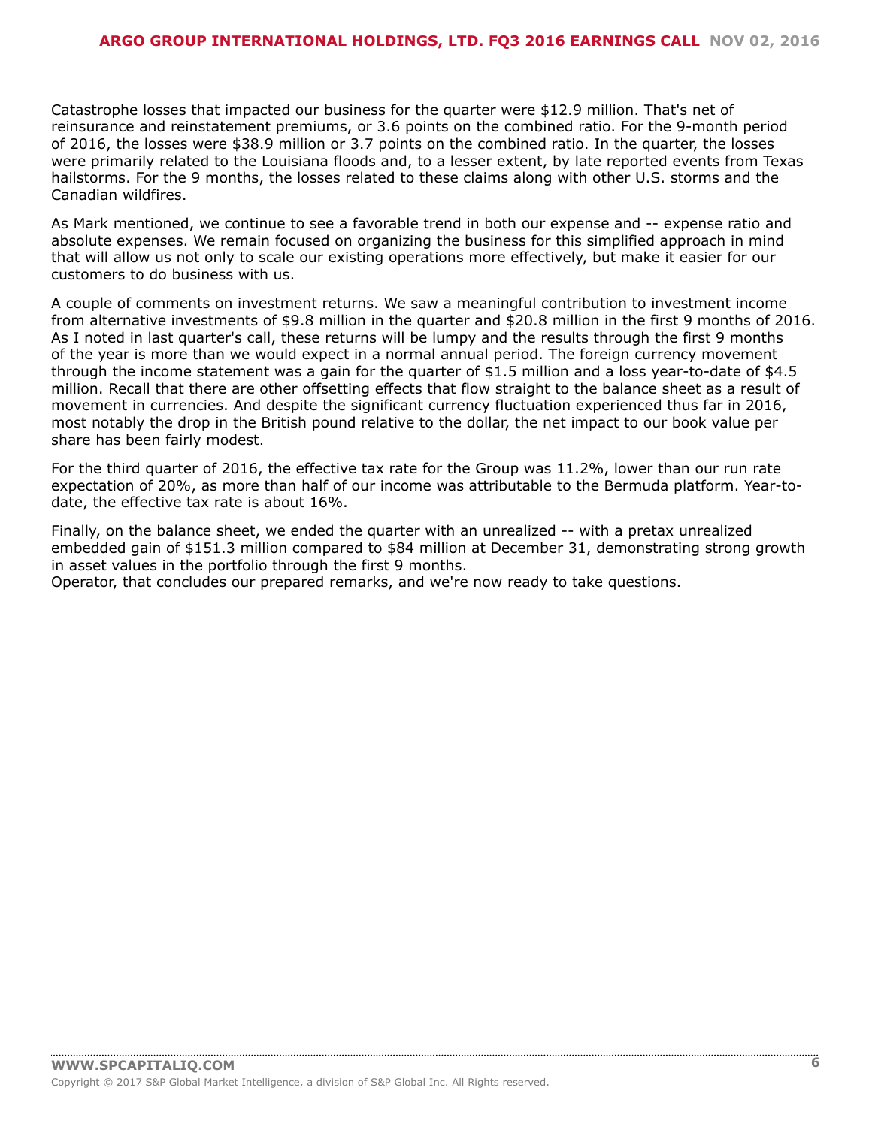Catastrophe losses that impacted our business for the quarter were \$12.9 million. That's net of reinsurance and reinstatement premiums, or 3.6 points on the combined ratio. For the 9-month period of 2016, the losses were \$38.9 million or 3.7 points on the combined ratio. In the quarter, the losses were primarily related to the Louisiana floods and, to a lesser extent, by late reported events from Texas hailstorms. For the 9 months, the losses related to these claims along with other U.S. storms and the Canadian wildfires.

As Mark mentioned, we continue to see a favorable trend in both our expense and -- expense ratio and absolute expenses. We remain focused on organizing the business for this simplified approach in mind that will allow us not only to scale our existing operations more effectively, but make it easier for our customers to do business with us.

A couple of comments on investment returns. We saw a meaningful contribution to investment income from alternative investments of \$9.8 million in the quarter and \$20.8 million in the first 9 months of 2016. As I noted in last quarter's call, these returns will be lumpy and the results through the first 9 months of the year is more than we would expect in a normal annual period. The foreign currency movement through the income statement was a gain for the quarter of \$1.5 million and a loss year-to-date of \$4.5 million. Recall that there are other offsetting effects that flow straight to the balance sheet as a result of movement in currencies. And despite the significant currency fluctuation experienced thus far in 2016, most notably the drop in the British pound relative to the dollar, the net impact to our book value per share has been fairly modest.

For the third quarter of 2016, the effective tax rate for the Group was 11.2%, lower than our run rate expectation of 20%, as more than half of our income was attributable to the Bermuda platform. Year-todate, the effective tax rate is about 16%.

Finally, on the balance sheet, we ended the quarter with an unrealized -- with a pretax unrealized embedded gain of \$151.3 million compared to \$84 million at December 31, demonstrating strong growth in asset values in the portfolio through the first 9 months.

Operator, that concludes our prepared remarks, and we're now ready to take questions.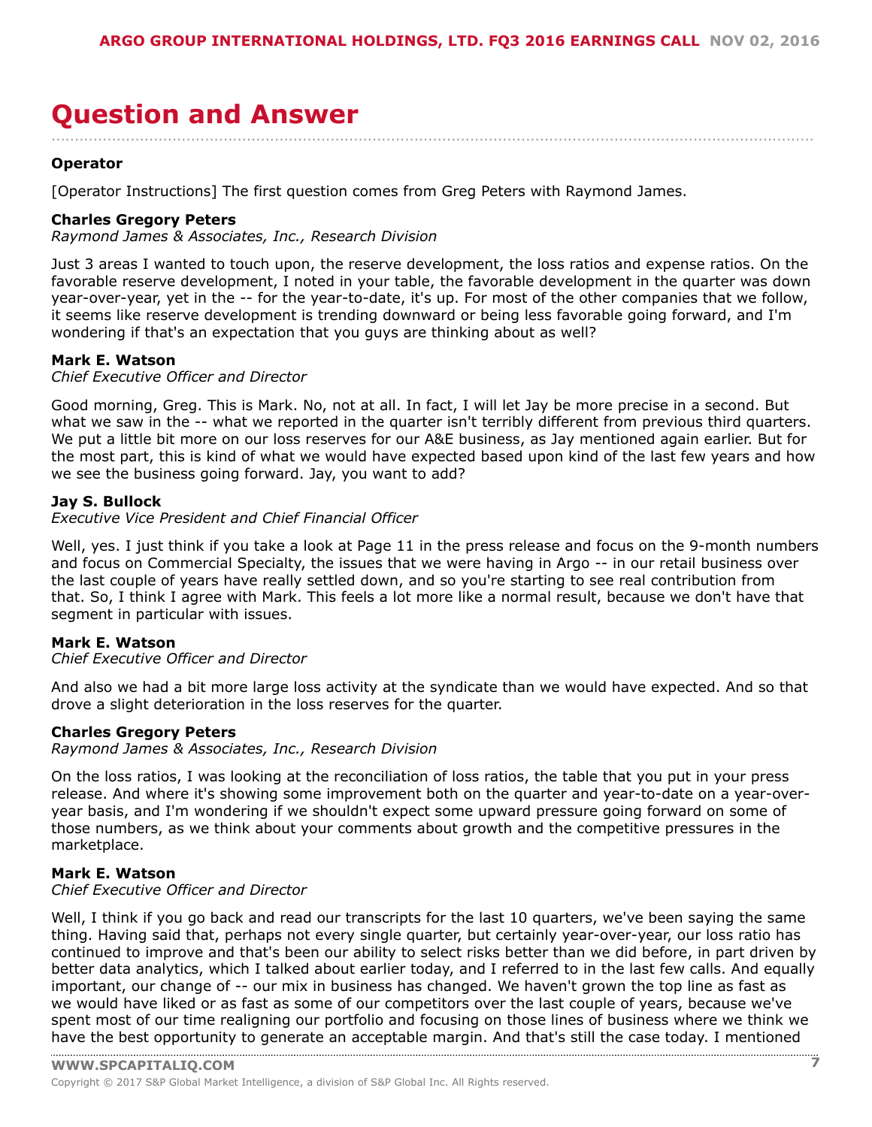### <span id="page-6-0"></span>**Question and Answer** ....................................................................................................................................................................

#### **Operator**

[Operator Instructions] The first question comes from Greg Peters with Raymond James.

#### **Charles Gregory Peters**

*Raymond James & Associates, Inc., Research Division*

Just 3 areas I wanted to touch upon, the reserve development, the loss ratios and expense ratios. On the favorable reserve development, I noted in your table, the favorable development in the quarter was down year-over-year, yet in the -- for the year-to-date, it's up. For most of the other companies that we follow, it seems like reserve development is trending downward or being less favorable going forward, and I'm wondering if that's an expectation that you guys are thinking about as well?

#### **Mark E. Watson**

#### *Chief Executive Officer and Director*

Good morning, Greg. This is Mark. No, not at all. In fact, I will let Jay be more precise in a second. But what we saw in the -- what we reported in the quarter isn't terribly different from previous third quarters. We put a little bit more on our loss reserves for our A&E business, as Jay mentioned again earlier. But for the most part, this is kind of what we would have expected based upon kind of the last few years and how we see the business going forward. Jay, you want to add?

#### **Jay S. Bullock**

#### *Executive Vice President and Chief Financial Officer*

Well, yes. I just think if you take a look at Page 11 in the press release and focus on the 9-month numbers and focus on Commercial Specialty, the issues that we were having in Argo -- in our retail business over the last couple of years have really settled down, and so you're starting to see real contribution from that. So, I think I agree with Mark. This feels a lot more like a normal result, because we don't have that segment in particular with issues.

#### **Mark E. Watson**

#### *Chief Executive Officer and Director*

And also we had a bit more large loss activity at the syndicate than we would have expected. And so that drove a slight deterioration in the loss reserves for the quarter.

#### **Charles Gregory Peters**

*Raymond James & Associates, Inc., Research Division*

On the loss ratios, I was looking at the reconciliation of loss ratios, the table that you put in your press release. And where it's showing some improvement both on the quarter and year-to-date on a year-overyear basis, and I'm wondering if we shouldn't expect some upward pressure going forward on some of those numbers, as we think about your comments about growth and the competitive pressures in the marketplace.

#### **Mark E. Watson**

*Chief Executive Officer and Director*

Well, I think if you go back and read our transcripts for the last 10 quarters, we've been saying the same thing. Having said that, perhaps not every single quarter, but certainly year-over-year, our loss ratio has continued to improve and that's been our ability to select risks better than we did before, in part driven by better data analytics, which I talked about earlier today, and I referred to in the last few calls. And equally important, our change of -- our mix in business has changed. We haven't grown the top line as fast as we would have liked or as fast as some of our competitors over the last couple of years, because we've spent most of our time realigning our portfolio and focusing on those lines of business where we think we have the best [opportunity](www.capitaliq.com) to generate an acceptable margin. And that's still the case today. I mentioned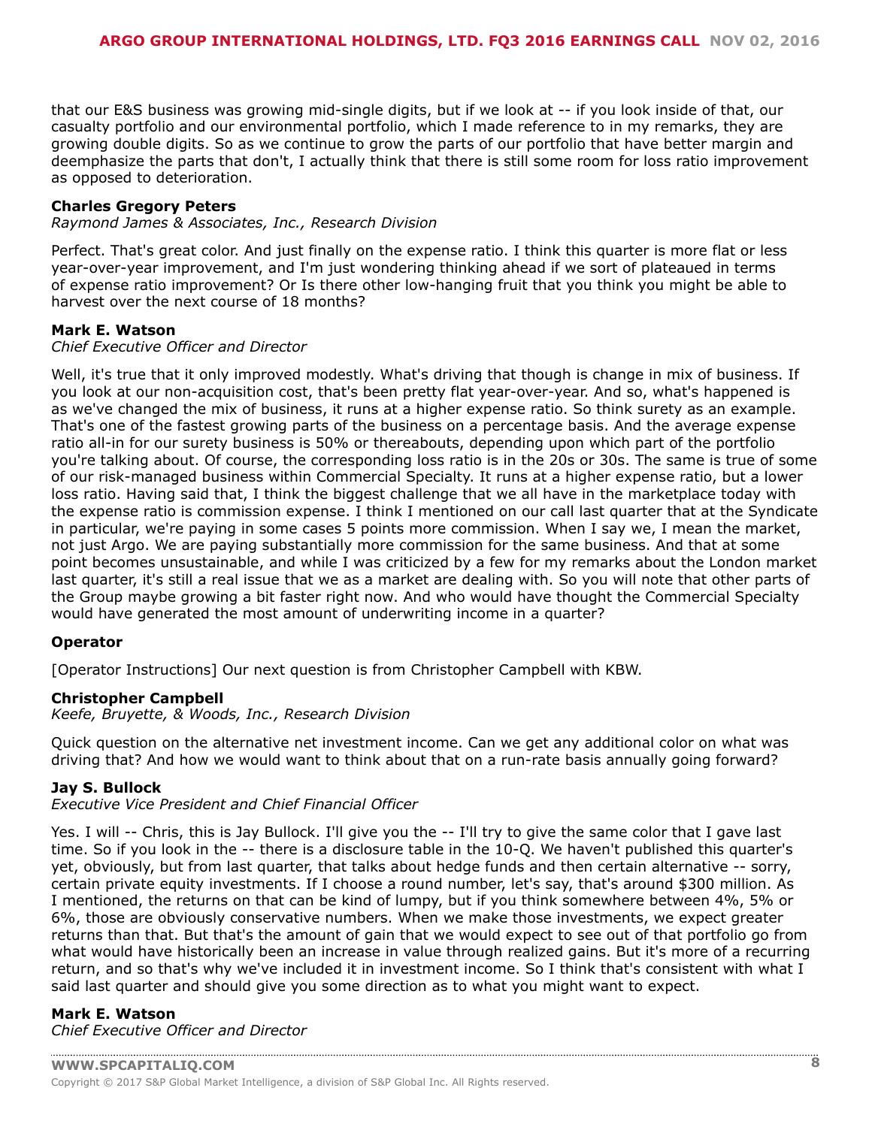that our E&S business was growing mid-single digits, but if we look at -- if you look inside of that, our casualty portfolio and our environmental portfolio, which I made reference to in my remarks, they are growing double digits. So as we continue to grow the parts of our portfolio that have better margin and deemphasize the parts that don't, I actually think that there is still some room for loss ratio improvement as opposed to deterioration.

#### **Charles Gregory Peters**

*Raymond James & Associates, Inc., Research Division*

Perfect. That's great color. And just finally on the expense ratio. I think this quarter is more flat or less year-over-year improvement, and I'm just wondering thinking ahead if we sort of plateaued in terms of expense ratio improvement? Or Is there other low-hanging fruit that you think you might be able to harvest over the next course of 18 months?

#### **Mark E. Watson**

#### *Chief Executive Officer and Director*

Well, it's true that it only improved modestly. What's driving that though is change in mix of business. If you look at our non-acquisition cost, that's been pretty flat year-over-year. And so, what's happened is as we've changed the mix of business, it runs at a higher expense ratio. So think surety as an example. That's one of the fastest growing parts of the business on a percentage basis. And the average expense ratio all-in for our surety business is 50% or thereabouts, depending upon which part of the portfolio you're talking about. Of course, the corresponding loss ratio is in the 20s or 30s. The same is true of some of our risk-managed business within Commercial Specialty. It runs at a higher expense ratio, but a lower loss ratio. Having said that, I think the biggest challenge that we all have in the marketplace today with the expense ratio is commission expense. I think I mentioned on our call last quarter that at the Syndicate in particular, we're paying in some cases 5 points more commission. When I say we, I mean the market, not just Argo. We are paying substantially more commission for the same business. And that at some point becomes unsustainable, and while I was criticized by a few for my remarks about the London market last quarter, it's still a real issue that we as a market are dealing with. So you will note that other parts of the Group maybe growing a bit faster right now. And who would have thought the Commercial Specialty would have generated the most amount of underwriting income in a quarter?

#### **Operator**

[Operator Instructions] Our next question is from Christopher Campbell with KBW.

#### **Christopher Campbell**

*Keefe, Bruyette, & Woods, Inc., Research Division*

Quick question on the alternative net investment income. Can we get any additional color on what was driving that? And how we would want to think about that on a run-rate basis annually going forward?

#### **Jay S. Bullock**

*Executive Vice President and Chief Financial Officer*

Yes. I will -- Chris, this is Jay Bullock. I'll give you the -- I'll try to give the same color that I gave last time. So if you look in the -- there is a disclosure table in the 10-Q. We haven't published this quarter's yet, obviously, but from last quarter, that talks about hedge funds and then certain alternative -- sorry, certain private equity investments. If I choose a round number, let's say, that's around \$300 million. As I mentioned, the returns on that can be kind of lumpy, but if you think somewhere between 4%, 5% or 6%, those are obviously conservative numbers. When we make those investments, we expect greater returns than that. But that's the amount of gain that we would expect to see out of that portfolio go from what would have historically been an increase in value through realized gains. But it's more of a recurring return, and so that's why we've included it in investment income. So I think that's consistent with what I said last quarter and should give you some direction as to what you might want to expect.

#### **Mark E. Watson**

*Chief Executive Officer and Director*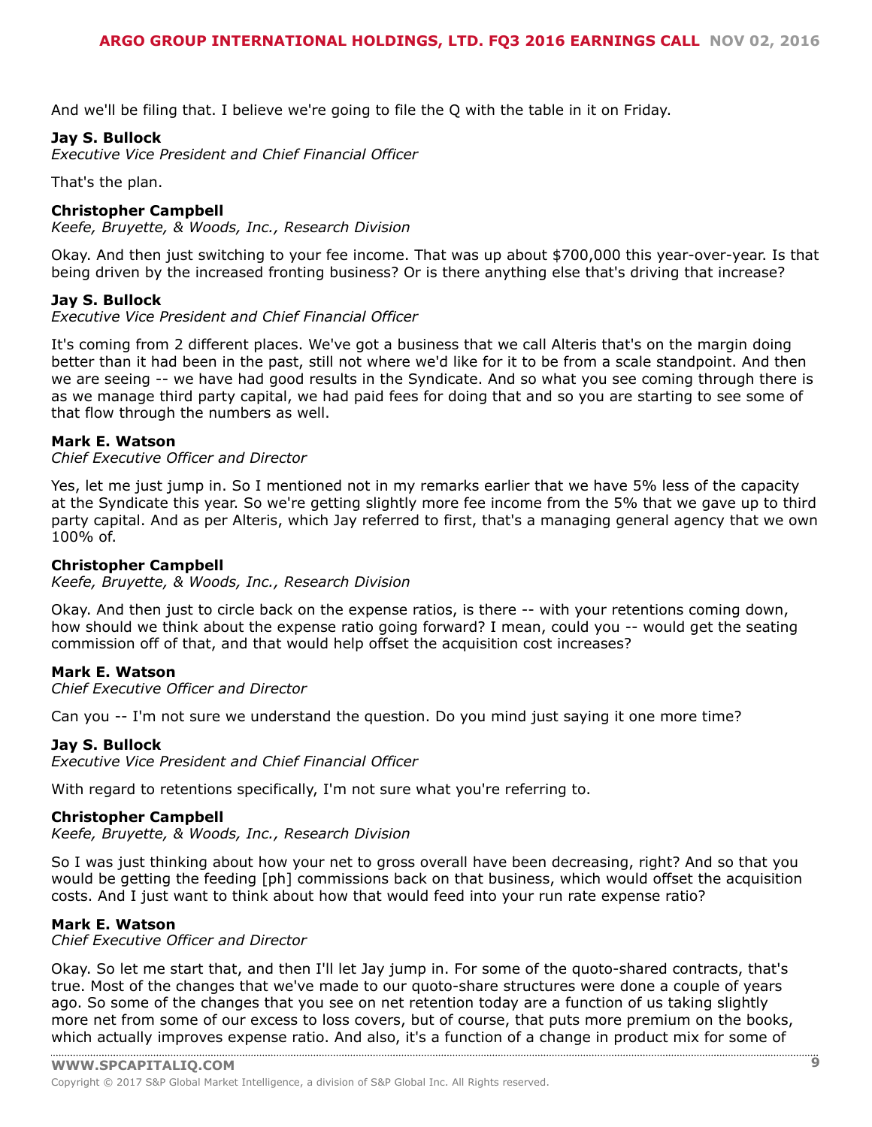And we'll be filing that. I believe we're going to file the Q with the table in it on Friday.

#### **Jay S. Bullock**

*Executive Vice President and Chief Financial Officer*

That's the plan.

#### **Christopher Campbell**

*Keefe, Bruyette, & Woods, Inc., Research Division*

Okay. And then just switching to your fee income. That was up about \$700,000 this year-over-year. Is that being driven by the increased fronting business? Or is there anything else that's driving that increase?

#### **Jay S. Bullock**

*Executive Vice President and Chief Financial Officer*

It's coming from 2 different places. We've got a business that we call Alteris that's on the margin doing better than it had been in the past, still not where we'd like for it to be from a scale standpoint. And then we are seeing -- we have had good results in the Syndicate. And so what you see coming through there is as we manage third party capital, we had paid fees for doing that and so you are starting to see some of that flow through the numbers as well.

#### **Mark E. Watson**

*Chief Executive Officer and Director*

Yes, let me just jump in. So I mentioned not in my remarks earlier that we have 5% less of the capacity at the Syndicate this year. So we're getting slightly more fee income from the 5% that we gave up to third party capital. And as per Alteris, which Jay referred to first, that's a managing general agency that we own 100% of.

#### **Christopher Campbell**

*Keefe, Bruyette, & Woods, Inc., Research Division*

Okay. And then just to circle back on the expense ratios, is there -- with your retentions coming down, how should we think about the expense ratio going forward? I mean, could you -- would get the seating commission off of that, and that would help offset the acquisition cost increases?

#### **Mark E. Watson**

*Chief Executive Officer and Director*

Can you -- I'm not sure we understand the question. Do you mind just saying it one more time?

#### **Jay S. Bullock**

*Executive Vice President and Chief Financial Officer*

With regard to retentions specifically, I'm not sure what you're referring to.

#### **Christopher Campbell**

*Keefe, Bruyette, & Woods, Inc., Research Division*

So I was just thinking about how your net to gross overall have been decreasing, right? And so that you would be getting the feeding [ph] commissions back on that business, which would offset the acquisition costs. And I just want to think about how that would feed into your run rate expense ratio?

#### **Mark E. Watson**

*Chief Executive Officer and Director*

Okay. So let me start that, and then I'll let Jay jump in. For some of the quoto-shared contracts, that's true. Most of the changes that we've made to our quoto-share structures were done a couple of years ago. So some of the changes that you see on net retention today are a function of us taking slightly more net from some of our excess to loss covers, but of course, that puts more premium on the books, which actually [improves](www.capitaliq.com) expense ratio. And also, it's a function of a change in product mix for some of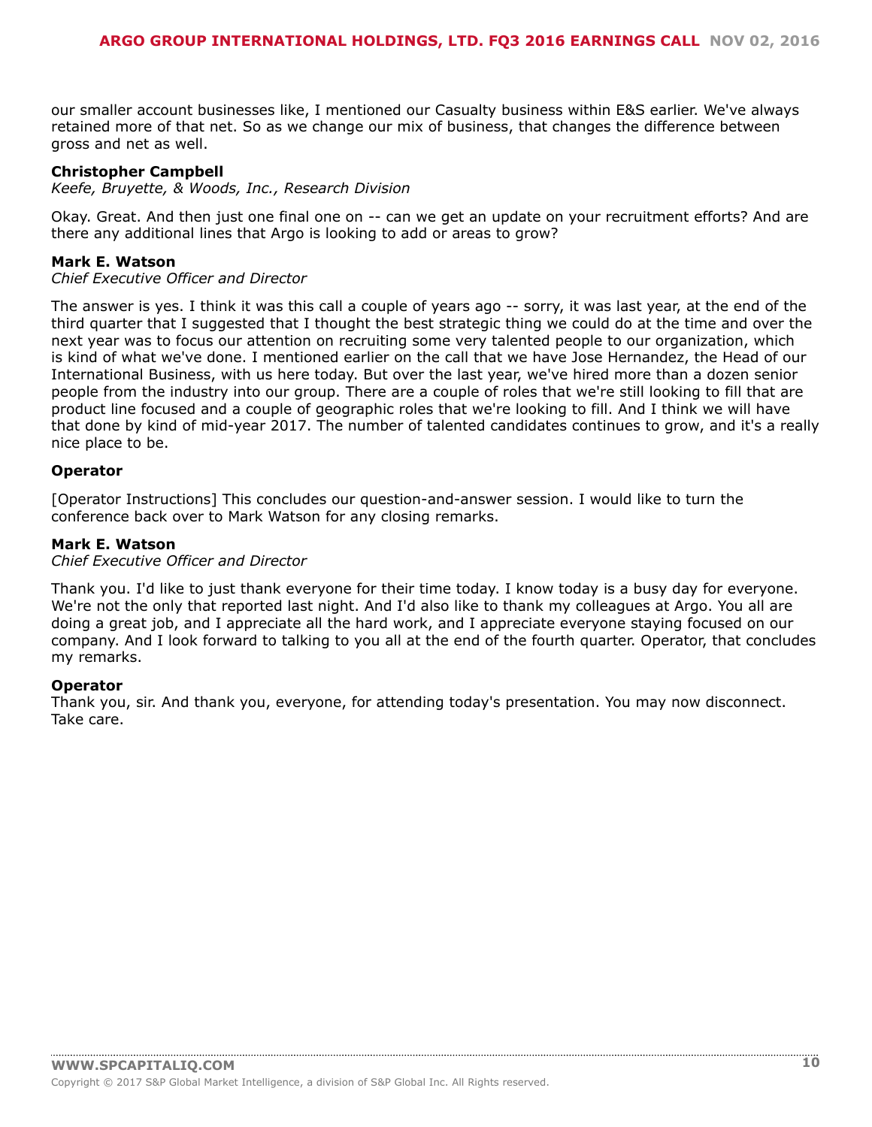our smaller account businesses like, I mentioned our Casualty business within E&S earlier. We've always retained more of that net. So as we change our mix of business, that changes the difference between gross and net as well.

#### **Christopher Campbell**

*Keefe, Bruyette, & Woods, Inc., Research Division*

Okay. Great. And then just one final one on -- can we get an update on your recruitment efforts? And are there any additional lines that Argo is looking to add or areas to grow?

#### **Mark E. Watson**

#### *Chief Executive Officer and Director*

The answer is yes. I think it was this call a couple of years ago -- sorry, it was last year, at the end of the third quarter that I suggested that I thought the best strategic thing we could do at the time and over the next year was to focus our attention on recruiting some very talented people to our organization, which is kind of what we've done. I mentioned earlier on the call that we have Jose Hernandez, the Head of our International Business, with us here today. But over the last year, we've hired more than a dozen senior people from the industry into our group. There are a couple of roles that we're still looking to fill that are product line focused and a couple of geographic roles that we're looking to fill. And I think we will have that done by kind of mid-year 2017. The number of talented candidates continues to grow, and it's a really nice place to be.

#### **Operator**

[Operator Instructions] This concludes our question-and-answer session. I would like to turn the conference back over to Mark Watson for any closing remarks.

#### **Mark E. Watson**

#### *Chief Executive Officer and Director*

Thank you. I'd like to just thank everyone for their time today. I know today is a busy day for everyone. We're not the only that reported last night. And I'd also like to thank my colleagues at Argo. You all are doing a great job, and I appreciate all the hard work, and I appreciate everyone staying focused on our company. And I look forward to talking to you all at the end of the fourth quarter. Operator, that concludes my remarks.

#### **Operator**

Thank you, sir. And thank you, everyone, for attending today's presentation. You may now disconnect. Take care.